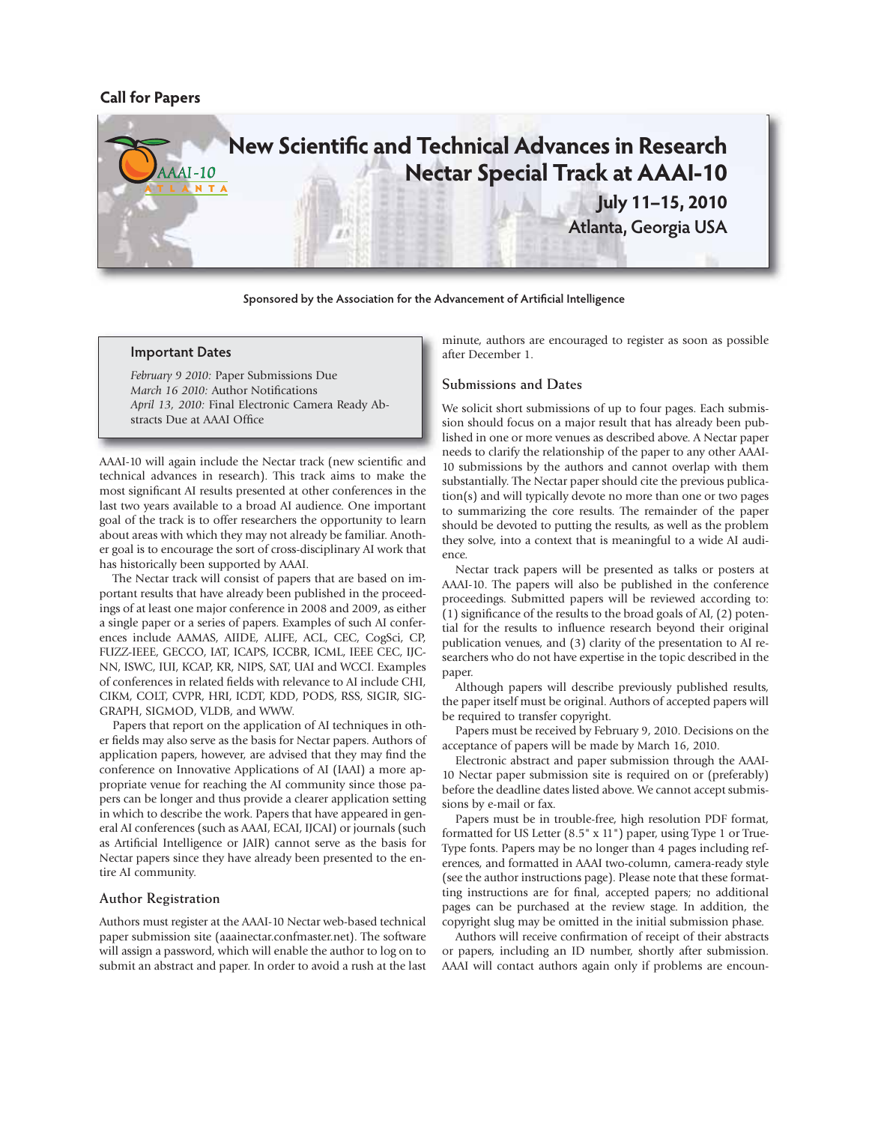## **Call for Papers**



**Sponsored by the Association for the Advancement of Artificial Intelligence**

#### **Important Dates**

*February 9 2010:* Paper Submissions Due *March 16 2010:* Author Notifications *April 13, 2010:* Final Electronic Camera Ready Abstracts Due at AAAI Office

AAAI-10 will again include the Nectar track (new scientific and technical advances in research). This track aims to make the most significant AI results presented at other conferences in the last two years available to a broad AI audience. One important goal of the track is to offer researchers the opportunity to learn about areas with which they may not already be familiar. Another goal is to encourage the sort of cross-disciplinary AI work that has historically been supported by AAAI.

The Nectar track will consist of papers that are based on important results that have already been published in the proceedings of at least one major conference in 2008 and 2009, as either a single paper or a series of papers. Examples of such AI conferences include AAMAS, AIIDE, ALIFE, ACL, CEC, CogSci, CP, FUZZ-IEEE, GECCO, IAT, ICAPS, ICCBR, ICML, IEEE CEC, IJC-NN, ISWC, IUI, KCAP, KR, NIPS, SAT, UAI and WCCI. Examples of conferences in related fields with relevance to AI include CHI, CIKM, COLT, CVPR, HRI, ICDT, KDD, PODS, RSS, SIGIR, SIG-GRAPH, SIGMOD, VLDB, and WWW.

Papers that report on the application of AI techniques in other fields may also serve as the basis for Nectar papers. Authors of application papers, however, are advised that they may find the conference on Innovative Applications of AI (IAAI) a more appropriate venue for reaching the AI community since those papers can be longer and thus provide a clearer application setting in which to describe the work. Papers that have appeared in general AI conferences (such as AAAI, ECAI, IJCAI) or journals (such as Artificial Intelligence or JAIR) cannot serve as the basis for Nectar papers since they have already been presented to the entire AI community.

#### **Author Registration**

Authors must register at the AAAI-10 Nectar web-based technical paper submission site (aaainectar.confmaster.net). The software will assign a password, which will enable the author to log on to submit an abstract and paper. In order to avoid a rush at the last minute, authors are encouraged to register as soon as possible after December 1.

## **Submissions and Dates**

We solicit short submissions of up to four pages. Each submission should focus on a major result that has already been published in one or more venues as described above. A Nectar paper needs to clarify the relationship of the paper to any other AAAI-10 submissions by the authors and cannot overlap with them substantially. The Nectar paper should cite the previous publication(s) and will typically devote no more than one or two pages to summarizing the core results. The remainder of the paper should be devoted to putting the results, as well as the problem they solve, into a context that is meaningful to a wide AI audience.

Nectar track papers will be presented as talks or posters at AAAI-10. The papers will also be published in the conference proceedings. Submitted papers will be reviewed according to: (1) significance of the results to the broad goals of AI, (2) potential for the results to influence research beyond their original publication venues, and (3) clarity of the presentation to AI researchers who do not have expertise in the topic described in the paper.

Although papers will describe previously published results, the paper itself must be original. Authors of accepted papers will be required to transfer copyright.

Papers must be received by February 9, 2010. Decisions on the acceptance of papers will be made by March 16, 2010.

Electronic abstract and paper submission through the AAAI-10 Nectar paper submission site is required on or (preferably) before the deadline dates listed above. We cannot accept submissions by e-mail or fax.

Papers must be in trouble-free, high resolution PDF format, formatted for US Letter (8.5" x 11") paper, using Type 1 or True-Type fonts. Papers may be no longer than 4 pages including references, and formatted in AAAI two-column, camera-ready style (see the author instructions page). Please note that these formatting instructions are for final, accepted papers; no additional pages can be purchased at the review stage. In addition, the copyright slug may be omitted in the initial submission phase.

Authors will receive confirmation of receipt of their abstracts or papers, including an ID number, shortly after submission. AAAI will contact authors again only if problems are encoun